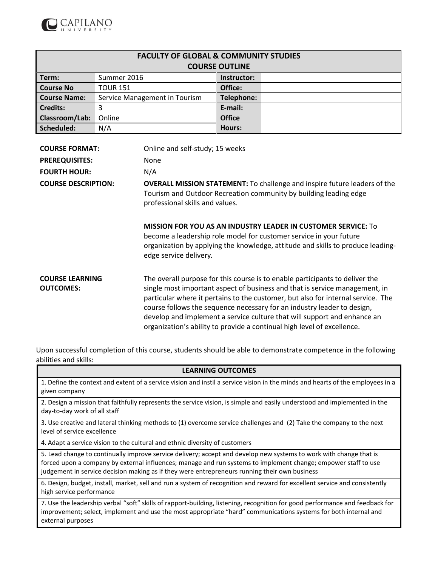

| <b>FACULTY OF GLOBAL &amp; COMMUNITY STUDIES</b> |                               |                   |  |  |
|--------------------------------------------------|-------------------------------|-------------------|--|--|
| <b>COURSE OUTLINE</b>                            |                               |                   |  |  |
| $\parallel$ Term:                                | Summer 2016                   | Instructor:       |  |  |
| Course No                                        | <b>TOUR 151</b>               | Office:           |  |  |
| <b>Course Name:</b>                              | Service Management in Tourism | <b>Telephone:</b> |  |  |
| <b>Credits:</b>                                  |                               | E-mail:           |  |  |
| Classroom/Lab:                                   | Online                        | <b>Office</b>     |  |  |
| Scheduled:                                       | N/A                           | <b>Hours:</b>     |  |  |

| <b>COURSE FORMAT:</b>                      | Online and self-study; 15 weeks                                                                                                                                                                                                                                                                                                                                                                                                                                                   |
|--------------------------------------------|-----------------------------------------------------------------------------------------------------------------------------------------------------------------------------------------------------------------------------------------------------------------------------------------------------------------------------------------------------------------------------------------------------------------------------------------------------------------------------------|
| <b>PREREQUISITES:</b>                      | <b>None</b>                                                                                                                                                                                                                                                                                                                                                                                                                                                                       |
| <b>FOURTH HOUR:</b>                        | N/A                                                                                                                                                                                                                                                                                                                                                                                                                                                                               |
| <b>COURSE DESCRIPTION:</b>                 | <b>OVERALL MISSION STATEMENT:</b> To challenge and inspire future leaders of the<br>Tourism and Outdoor Recreation community by building leading edge<br>professional skills and values.                                                                                                                                                                                                                                                                                          |
|                                            | <b>MISSION FOR YOU AS AN INDUSTRY LEADER IN CUSTOMER SERVICE:</b> To<br>become a leadership role model for customer service in your future<br>organization by applying the knowledge, attitude and skills to produce leading-<br>edge service delivery.                                                                                                                                                                                                                           |
| <b>COURSE LEARNING</b><br><b>OUTCOMES:</b> | The overall purpose for this course is to enable participants to deliver the<br>single most important aspect of business and that is service management, in<br>particular where it pertains to the customer, but also for internal service. The<br>course follows the sequence necessary for an industry leader to design,<br>develop and implement a service culture that will support and enhance an<br>organization's ability to provide a continual high level of excellence. |

Upon successful completion of this course, students should be able to demonstrate competence in the following abilities and skills:  $\overline{\phantom{0}}$ 

| <b>LEARNING OUTCOMES</b>                                                                                                                                                                                                                                                                                                              |
|---------------------------------------------------------------------------------------------------------------------------------------------------------------------------------------------------------------------------------------------------------------------------------------------------------------------------------------|
| 1. Define the context and extent of a service vision and instil a service vision in the minds and hearts of the employees in a<br>given company                                                                                                                                                                                       |
| 2. Design a mission that faithfully represents the service vision, is simple and easily understood and implemented in the<br>day-to-day work of all staff                                                                                                                                                                             |
| 3. Use creative and lateral thinking methods to (1) overcome service challenges and (2) Take the company to the next<br>level of service excellence                                                                                                                                                                                   |
| 4. Adapt a service vision to the cultural and ethnic diversity of customers                                                                                                                                                                                                                                                           |
| 5. Lead change to continually improve service delivery; accept and develop new systems to work with change that is<br>forced upon a company by external influences; manage and run systems to implement change; empower staff to use<br>judgement in service decision making as if they were entrepreneurs running their own business |
| 6. Design, budget, install, market, sell and run a system of recognition and reward for excellent service and consistently<br>high service performance                                                                                                                                                                                |
| 7. Use the leadership verbal "soft" skills of rapport-building, listening, recognition for good performance and feedback for<br>improvement; select, implement and use the most appropriate "hard" communications systems for both internal and<br>external purposes                                                                  |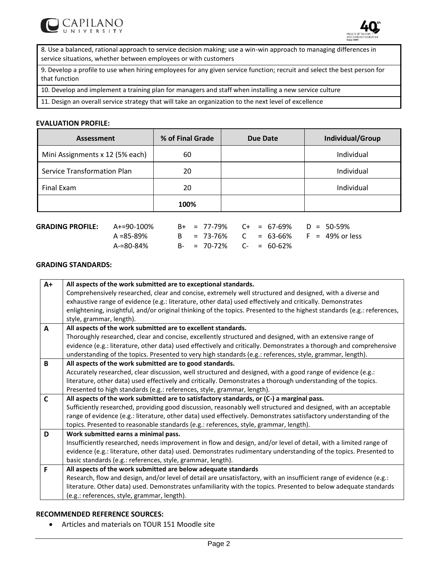



8. Use a balanced, rational approach to service decision making; use a win-win approach to managing differences in service situations, whether between employees or with customers

9. Develop a profile to use when hiring employees for any given service function; recruit and select the best person for that function

10. Develop and implement a training plan for managers and staff when installing a new service culture

11. Design an overall service strategy that will take an organization to the next level of excellence

#### **EVALUATION PROFILE:**

| Assessment                         | % of Final Grade | Due Date | Individual/Group |
|------------------------------------|------------------|----------|------------------|
| Mini Assignments x 12 (5% each)    | 60               |          | Individual       |
| <b>Service Transformation Plan</b> | 20               |          | Individual       |
| Final Exam                         | 20               |          | Individual       |
|                                    | 100%             |          |                  |

| $GRADING PROFILE: A+=90-100\%$ |           |  | $B+$ = 77-79% $C+$ = 67-69% $D = 50-59%$ |  |  |                                       |
|--------------------------------|-----------|--|------------------------------------------|--|--|---------------------------------------|
|                                | A =85-89% |  |                                          |  |  | B = 73-76% C = 63-66% F = 49% or less |
|                                | A-=80-84% |  | $B - = 70 - 72\%$ $C - = 60 - 62\%$      |  |  |                                       |

### **GRADING STANDARDS:**

| $A+$ | All aspects of the work submitted are to exceptional standards.                                                         |
|------|-------------------------------------------------------------------------------------------------------------------------|
|      | Comprehensively researched, clear and concise, extremely well structured and designed, with a diverse and               |
|      | exhaustive range of evidence (e.g.: literature, other data) used effectively and critically. Demonstrates               |
|      | enlightening, insightful, and/or original thinking of the topics. Presented to the highest standards (e.g.: references, |
|      | style, grammar, length).                                                                                                |
| A    | All aspects of the work submitted are to excellent standards.                                                           |
|      | Thoroughly researched, clear and concise, excellently structured and designed, with an extensive range of               |
|      | evidence (e.g.: literature, other data) used effectively and critically. Demonstrates a thorough and comprehensive      |
|      | understanding of the topics. Presented to very high standards (e.g.: references, style, grammar, length).               |
| B    | All aspects of the work submitted are to good standards.                                                                |
|      | Accurately researched, clear discussion, well structured and designed, with a good range of evidence (e.g.:             |
|      | literature, other data) used effectively and critically. Demonstrates a thorough understanding of the topics.           |
|      | Presented to high standards (e.g.: references, style, grammar, length).                                                 |
| C    | All aspects of the work submitted are to satisfactory standards, or (C-) a marginal pass.                               |
|      | Sufficiently researched, providing good discussion, reasonably well structured and designed, with an acceptable         |
|      | range of evidence (e.g.: literature, other data) used effectively. Demonstrates satisfactory understanding of the       |
|      | topics. Presented to reasonable standards (e.g.: references, style, grammar, length).                                   |
| D    | Work submitted earns a minimal pass.                                                                                    |
|      | Insufficiently researched, needs improvement in flow and design, and/or level of detail, with a limited range of        |
|      | evidence (e.g.: literature, other data) used. Demonstrates rudimentary understanding of the topics. Presented to        |
|      | basic standards (e.g.: references, style, grammar, length).                                                             |
| F    | All aspects of the work submitted are below adequate standards                                                          |
|      | Research, flow and design, and/or level of detail are unsatisfactory, with an insufficient range of evidence (e.g.:     |
|      | literature. Other data) used. Demonstrates unfamiliarity with the topics. Presented to below adequate standards         |
|      | (e.g.: references, style, grammar, length).                                                                             |

### **RECOMMENDED REFERENCE SOURCES:**

Articles and materials on TOUR 151 Moodle site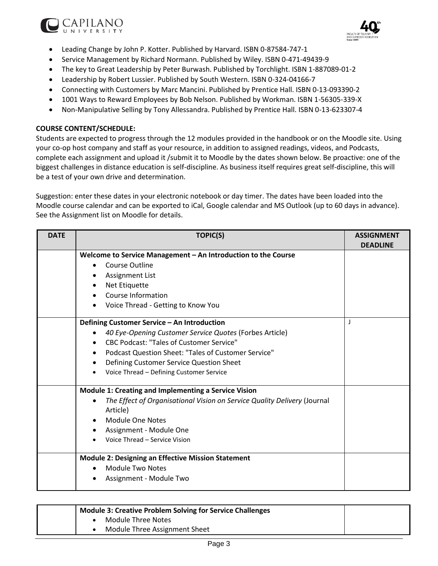



- Leading Change by John P. Kotter. Published by Harvard. ISBN 0-87584-747-1
- Service Management by Richard Normann. Published by Wiley. ISBN 0-471-49439-9
- The key to Great Leadership by Peter Burwash. Published by Torchlight. ISBN 1-887089-01-2
- Leadership by Robert Lussier. Published by South Western. ISBN 0-324-04166-7
- Connecting with Customers by Marc Mancini. Published by Prentice Hall. ISBN 0-13-093390-2
- 1001 Ways to Reward Employees by Bob Nelson. Published by Workman. ISBN 1-56305-339-X
- Non-Manipulative Selling by Tony Allessandra. Published by Prentice Hall. ISBN 0-13-623307-4

### **COURSE CONTENT/SCHEDULE:**

Students are expected to progress through the 12 modules provided in the handbook or on the Moodle site. Using your co-op host company and staff as your resource, in addition to assigned readings, videos, and Podcasts, complete each assignment and upload it /submit it to Moodle by the dates shown below. Be proactive: one of the biggest challenges in distance education is self-discipline. As business itself requires great self-discipline, this will be a test of your own drive and determination.

Suggestion: enter these dates in your electronic notebook or day timer. The dates have been loaded into the Moodle course calendar and can be exported to iCal, Google calendar and MS Outlook (up to 60 days in advance). See the Assignment list on Moodle for details.

| <b>DATE</b> | <b>TOPIC(S)</b>                                                                       | <b>ASSIGNMENT</b><br><b>DEADLINE</b> |
|-------------|---------------------------------------------------------------------------------------|--------------------------------------|
|             | Welcome to Service Management - An Introduction to the Course                         |                                      |
|             | Course Outline<br>$\bullet$                                                           |                                      |
|             | <b>Assignment List</b><br>٠                                                           |                                      |
|             |                                                                                       |                                      |
|             | Net Etiquette<br>٠<br>Course Information                                              |                                      |
|             |                                                                                       |                                      |
|             | Voice Thread - Getting to Know You                                                    |                                      |
|             | Defining Customer Service - An Introduction                                           | J                                    |
|             | 40 Eye-Opening Customer Service Quotes (Forbes Article)<br>$\bullet$                  |                                      |
|             | <b>CBC Podcast: "Tales of Customer Service"</b><br>$\bullet$                          |                                      |
|             | Podcast Question Sheet: "Tales of Customer Service"<br>$\bullet$                      |                                      |
|             | Defining Customer Service Question Sheet<br>$\bullet$                                 |                                      |
|             | Voice Thread - Defining Customer Service<br>$\bullet$                                 |                                      |
|             | Module 1: Creating and Implementing a Service Vision                                  |                                      |
|             | The Effect of Organisational Vision on Service Quality Delivery (Journal<br>$\bullet$ |                                      |
|             | Article)                                                                              |                                      |
|             | <b>Module One Notes</b><br>$\bullet$                                                  |                                      |
|             | Assignment - Module One<br>$\bullet$                                                  |                                      |
|             | Voice Thread - Service Vision                                                         |                                      |
|             |                                                                                       |                                      |
|             | <b>Module 2: Designing an Effective Mission Statement</b>                             |                                      |
|             | Module Two Notes<br>$\bullet$                                                         |                                      |
|             | Assignment - Module Two                                                               |                                      |
|             |                                                                                       |                                      |

| <b>Module 3: Creative Problem Solving for Service Challenges</b> |  |                               |  |
|------------------------------------------------------------------|--|-------------------------------|--|
|                                                                  |  | Module Three Notes            |  |
|                                                                  |  | Module Three Assignment Sheet |  |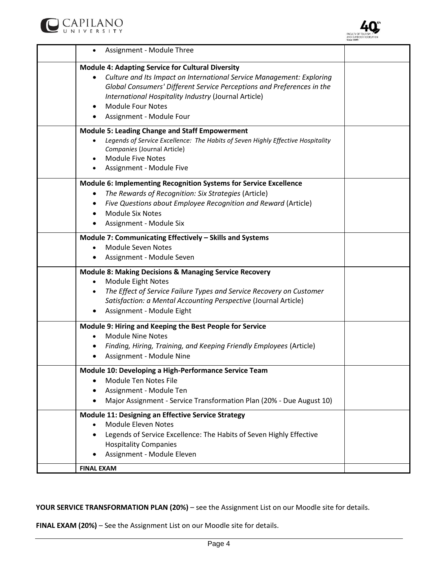



| Assignment - Module Three                                                                                                                                                                                                                                                                                                                |  |
|------------------------------------------------------------------------------------------------------------------------------------------------------------------------------------------------------------------------------------------------------------------------------------------------------------------------------------------|--|
| <b>Module 4: Adapting Service for Cultural Diversity</b><br>Culture and Its Impact on International Service Management: Exploring<br>$\bullet$<br>Global Consumers' Different Service Perceptions and Preferences in the<br>International Hospitality Industry (Journal Article)<br><b>Module Four Notes</b><br>Assignment - Module Four |  |
| <b>Module 5: Leading Change and Staff Empowerment</b><br>Legends of Service Excellence: The Habits of Seven Highly Effective Hospitality<br>$\bullet$<br>Companies (Journal Article)<br><b>Module Five Notes</b><br>$\bullet$<br>Assignment - Module Five                                                                                |  |
| <b>Module 6: Implementing Recognition Systems for Service Excellence</b><br>The Rewards of Recognition: Six Strategies (Article)<br>$\bullet$<br>Five Questions about Employee Recognition and Reward (Article)<br><b>Module Six Notes</b><br>$\bullet$<br>Assignment - Module Six                                                       |  |
| Module 7: Communicating Effectively - Skills and Systems<br><b>Module Seven Notes</b><br>Assignment - Module Seven                                                                                                                                                                                                                       |  |
| Module 8: Making Decisions & Managing Service Recovery<br>Module Eight Notes<br>$\bullet$<br>The Effect of Service Failure Types and Service Recovery on Customer<br>$\bullet$<br>Satisfaction: a Mental Accounting Perspective (Journal Article)<br>Assignment - Module Eight                                                           |  |
| Module 9: Hiring and Keeping the Best People for Service<br><b>Module Nine Notes</b><br>$\bullet$<br>Finding, Hiring, Training, and Keeping Friendly Employees (Article)<br>Assignment - Module Nine                                                                                                                                     |  |
| Module 10: Developing a High-Performance Service Team<br>Module Ten Notes File<br>Assignment - Module Ten<br>Major Assignment - Service Transformation Plan (20% - Due August 10)                                                                                                                                                        |  |
| <b>Module 11: Designing an Effective Service Strategy</b><br><b>Module Eleven Notes</b><br>$\bullet$<br>Legends of Service Excellence: The Habits of Seven Highly Effective<br>$\bullet$<br><b>Hospitality Companies</b><br>Assignment - Module Eleven                                                                                   |  |
| <b>FINAL EXAM</b>                                                                                                                                                                                                                                                                                                                        |  |

# **YOUR SERVICE TRANSFORMATION PLAN (20%)** – see the Assignment List on our Moodle site for details.

**FINAL EXAM (20%)** – See the Assignment List on our Moodle site for details.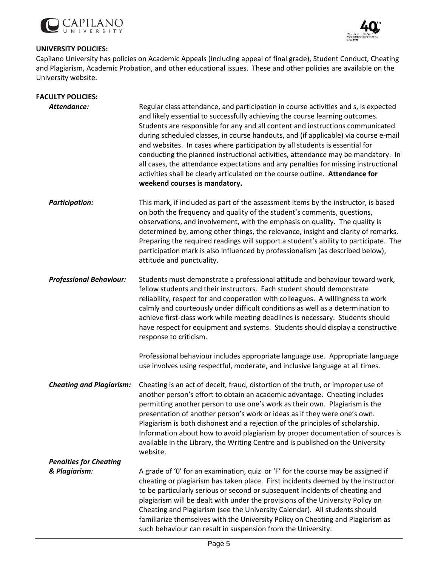



# **UNIVERSITY POLICIES:**

Capilano University has policies on Academic Appeals (including appeal of final grade), Student Conduct, Cheating and Plagiarism, Academic Probation, and other educational issues. These and other policies are available on the University website.

| <b>FACULTY POLICIES:</b>                                         |                                                                                                                                                                                                                                                                                                                                                                                                                                                                                                                                                                                                                                                                                                                         |
|------------------------------------------------------------------|-------------------------------------------------------------------------------------------------------------------------------------------------------------------------------------------------------------------------------------------------------------------------------------------------------------------------------------------------------------------------------------------------------------------------------------------------------------------------------------------------------------------------------------------------------------------------------------------------------------------------------------------------------------------------------------------------------------------------|
| Attendance:                                                      | Regular class attendance, and participation in course activities and s, is expected<br>and likely essential to successfully achieving the course learning outcomes.<br>Students are responsible for any and all content and instructions communicated<br>during scheduled classes, in course handouts, and (if applicable) via course e-mail<br>and websites. In cases where participation by all students is essential for<br>conducting the planned instructional activities, attendance may be mandatory. In<br>all cases, the attendance expectations and any penalties for missing instructional<br>activities shall be clearly articulated on the course outline. Attendance for<br>weekend courses is mandatory. |
| <b>Participation:</b>                                            | This mark, if included as part of the assessment items by the instructor, is based<br>on both the frequency and quality of the student's comments, questions,<br>observations, and involvement, with the emphasis on quality. The quality is<br>determined by, among other things, the relevance, insight and clarity of remarks.<br>Preparing the required readings will support a student's ability to participate. The<br>participation mark is also influenced by professionalism (as described below),<br>attitude and punctuality.                                                                                                                                                                                |
| <b>Professional Behaviour:</b>                                   | Students must demonstrate a professional attitude and behaviour toward work,<br>fellow students and their instructors. Each student should demonstrate<br>reliability, respect for and cooperation with colleagues. A willingness to work<br>calmly and courteously under difficult conditions as well as a determination to<br>achieve first-class work while meeting deadlines is necessary. Students should<br>have respect for equipment and systems. Students should display a constructive<br>response to criticism.                                                                                                                                                                                              |
|                                                                  | Professional behaviour includes appropriate language use. Appropriate language<br>use involves using respectful, moderate, and inclusive language at all times.                                                                                                                                                                                                                                                                                                                                                                                                                                                                                                                                                         |
| <b>Cheating and Plagiarism:</b><br><b>Penalties for Cheating</b> | Cheating is an act of deceit, fraud, distortion of the truth, or improper use of<br>another person's effort to obtain an academic advantage. Cheating includes<br>permitting another person to use one's work as their own. Plagiarism is the<br>presentation of another person's work or ideas as if they were one's own.<br>Plagiarism is both dishonest and a rejection of the principles of scholarship.<br>Information about how to avoid plagiarism by proper documentation of sources is<br>available in the Library, the Writing Centre and is published on the University<br>website.                                                                                                                          |
|                                                                  |                                                                                                                                                                                                                                                                                                                                                                                                                                                                                                                                                                                                                                                                                                                         |
| & Plagiarism:                                                    | A grade of '0' for an examination, quiz or 'F' for the course may be assigned if<br>cheating or plagiarism has taken place. First incidents deemed by the instructor<br>to be particularly serious or second or subsequent incidents of cheating and<br>plagiarism will be dealt with under the provisions of the University Policy on<br>Cheating and Plagiarism (see the University Calendar). All students should<br>familiarize themselves with the University Policy on Cheating and Plagiarism as<br>such behaviour can result in suspension from the University.                                                                                                                                                 |